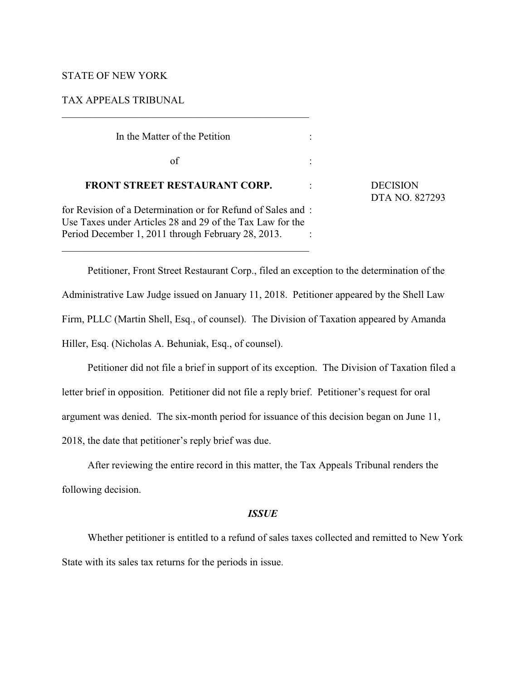# STATE OF NEW YORK

TAX APPEALS TRIBUNAL

| In the Matter of the Petition                                                                                                                                                  |                                   |
|--------------------------------------------------------------------------------------------------------------------------------------------------------------------------------|-----------------------------------|
| of                                                                                                                                                                             |                                   |
| <b>FRONT STREET RESTAURANT CORP.</b>                                                                                                                                           | <b>DECISION</b><br>DTA NO. 827293 |
| for Revision of a Determination or for Refund of Sales and:<br>Use Taxes under Articles 28 and 29 of the Tax Law for the<br>Period December 1, 2011 through February 28, 2013. |                                   |

Petitioner, Front Street Restaurant Corp., filed an exception to the determination of the Administrative Law Judge issued on January 11, 2018. Petitioner appeared by the Shell Law Firm, PLLC (Martin Shell, Esq., of counsel). The Division of Taxation appeared by Amanda Hiller, Esq. (Nicholas A. Behuniak, Esq., of counsel).

Petitioner did not file a brief in support of its exception. The Division of Taxation filed a letter brief in opposition. Petitioner did not file a reply brief. Petitioner's request for oral argument was denied. The six-month period for issuance of this decision began on June 11, 2018, the date that petitioner's reply brief was due.

After reviewing the entire record in this matter, the Tax Appeals Tribunal renders the following decision.

### *ISSUE*

Whether petitioner is entitled to a refund of sales taxes collected and remitted to New York State with its sales tax returns for the periods in issue.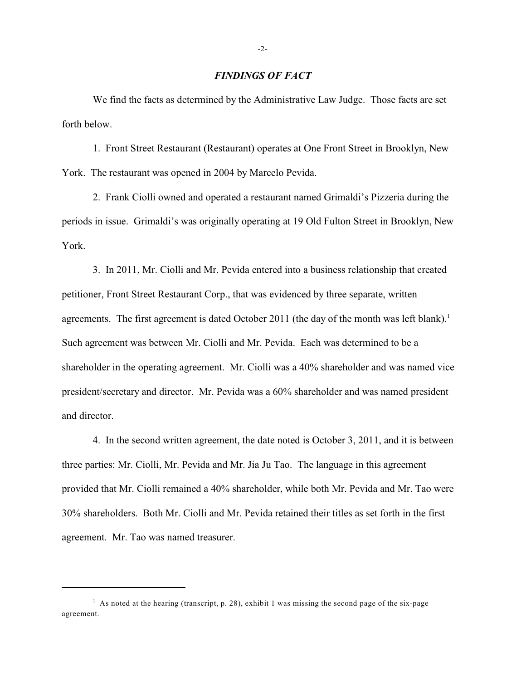## *FINDINGS OF FACT*

We find the facts as determined by the Administrative Law Judge. Those facts are set forth below.

1. Front Street Restaurant (Restaurant) operates at One Front Street in Brooklyn, New York. The restaurant was opened in 2004 by Marcelo Pevida.

2. Frank Ciolli owned and operated a restaurant named Grimaldi's Pizzeria during the periods in issue. Grimaldi's was originally operating at 19 Old Fulton Street in Brooklyn, New York.

3. In 2011, Mr. Ciolli and Mr. Pevida entered into a business relationship that created petitioner, Front Street Restaurant Corp., that was evidenced by three separate, written agreements. The first agreement is dated October 2011 (the day of the month was left blank).<sup>1</sup> Such agreement was between Mr. Ciolli and Mr. Pevida. Each was determined to be a shareholder in the operating agreement. Mr. Ciolli was a 40% shareholder and was named vice president/secretary and director. Mr. Pevida was a 60% shareholder and was named president and director.

4. In the second written agreement, the date noted is October 3, 2011, and it is between three parties: Mr. Ciolli, Mr. Pevida and Mr. Jia Ju Tao. The language in this agreement provided that Mr. Ciolli remained a 40% shareholder, while both Mr. Pevida and Mr. Tao were 30% shareholders. Both Mr. Ciolli and Mr. Pevida retained their titles as set forth in the first agreement. Mr. Tao was named treasurer.

<sup>&</sup>lt;sup>1</sup> As noted at the hearing (transcript, p. 28), exhibit 1 was missing the second page of the six-page agreement.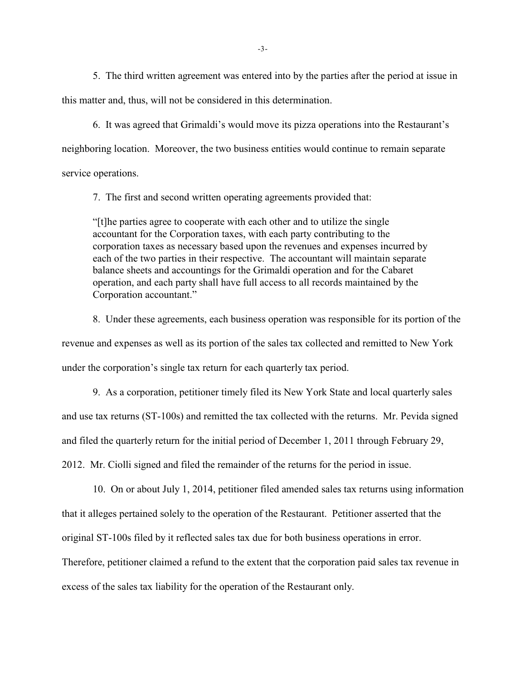5. The third written agreement was entered into by the parties after the period at issue in this matter and, thus, will not be considered in this determination.

6. It was agreed that Grimaldi's would move its pizza operations into the Restaurant's neighboring location. Moreover, the two business entities would continue to remain separate service operations.

7. The first and second written operating agreements provided that:

"[t]he parties agree to cooperate with each other and to utilize the single accountant for the Corporation taxes, with each party contributing to the corporation taxes as necessary based upon the revenues and expenses incurred by each of the two parties in their respective. The accountant will maintain separate balance sheets and accountings for the Grimaldi operation and for the Cabaret operation, and each party shall have full access to all records maintained by the Corporation accountant."

8. Under these agreements, each business operation was responsible for its portion of the revenue and expenses as well as its portion of the sales tax collected and remitted to New York under the corporation's single tax return for each quarterly tax period.

9. As a corporation, petitioner timely filed its New York State and local quarterly sales and use tax returns (ST-100s) and remitted the tax collected with the returns. Mr. Pevida signed and filed the quarterly return for the initial period of December 1, 2011 through February 29, 2012. Mr. Ciolli signed and filed the remainder of the returns for the period in issue.

10. On or about July 1, 2014, petitioner filed amended sales tax returns using information that it alleges pertained solely to the operation of the Restaurant. Petitioner asserted that the original ST-100s filed by it reflected sales tax due for both business operations in error. Therefore, petitioner claimed a refund to the extent that the corporation paid sales tax revenue in excess of the sales tax liability for the operation of the Restaurant only.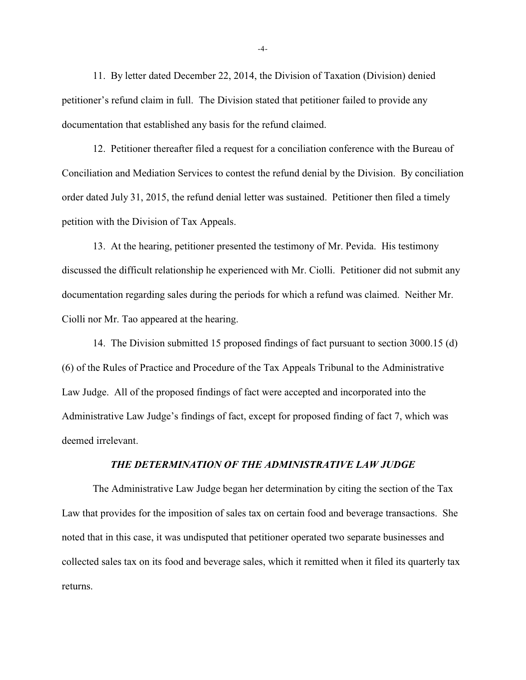11. By letter dated December 22, 2014, the Division of Taxation (Division) denied petitioner's refund claim in full. The Division stated that petitioner failed to provide any documentation that established any basis for the refund claimed.

12. Petitioner thereafter filed a request for a conciliation conference with the Bureau of Conciliation and Mediation Services to contest the refund denial by the Division. By conciliation order dated July 31, 2015, the refund denial letter was sustained. Petitioner then filed a timely petition with the Division of Tax Appeals.

13. At the hearing, petitioner presented the testimony of Mr. Pevida. His testimony discussed the difficult relationship he experienced with Mr. Ciolli. Petitioner did not submit any documentation regarding sales during the periods for which a refund was claimed. Neither Mr. Ciolli nor Mr. Tao appeared at the hearing.

14. The Division submitted 15 proposed findings of fact pursuant to section 3000.15 (d) (6) of the Rules of Practice and Procedure of the Tax Appeals Tribunal to the Administrative Law Judge. All of the proposed findings of fact were accepted and incorporated into the Administrative Law Judge's findings of fact, except for proposed finding of fact 7, which was deemed irrelevant.

# *THE DETERMINATION OF THE ADMINISTRATIVE LAW JUDGE*

The Administrative Law Judge began her determination by citing the section of the Tax Law that provides for the imposition of sales tax on certain food and beverage transactions. She noted that in this case, it was undisputed that petitioner operated two separate businesses and collected sales tax on its food and beverage sales, which it remitted when it filed its quarterly tax returns.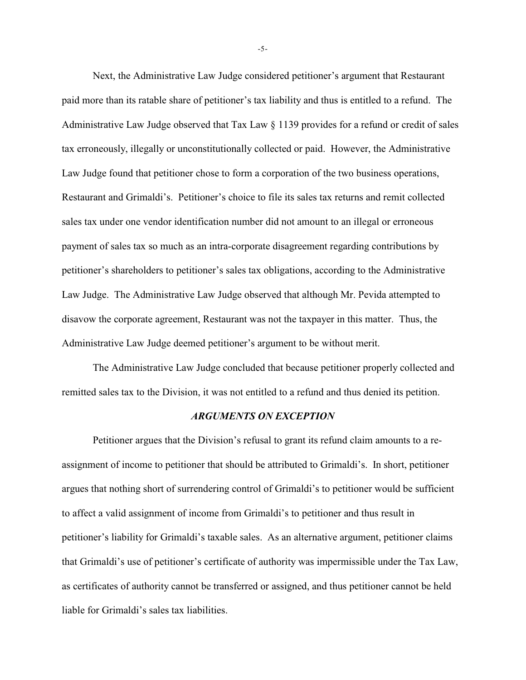Next, the Administrative Law Judge considered petitioner's argument that Restaurant paid more than its ratable share of petitioner's tax liability and thus is entitled to a refund. The Administrative Law Judge observed that Tax Law  $\S 1139$  provides for a refund or credit of sales tax erroneously, illegally or unconstitutionally collected or paid. However, the Administrative Law Judge found that petitioner chose to form a corporation of the two business operations, Restaurant and Grimaldi's. Petitioner's choice to file its sales tax returns and remit collected sales tax under one vendor identification number did not amount to an illegal or erroneous payment of sales tax so much as an intra-corporate disagreement regarding contributions by petitioner's shareholders to petitioner's sales tax obligations, according to the Administrative Law Judge. The Administrative Law Judge observed that although Mr. Pevida attempted to disavow the corporate agreement, Restaurant was not the taxpayer in this matter. Thus, the Administrative Law Judge deemed petitioner's argument to be without merit.

The Administrative Law Judge concluded that because petitioner properly collected and remitted sales tax to the Division, it was not entitled to a refund and thus denied its petition.

### *ARGUMENTS ON EXCEPTION*

Petitioner argues that the Division's refusal to grant its refund claim amounts to a reassignment of income to petitioner that should be attributed to Grimaldi's. In short, petitioner argues that nothing short of surrendering control of Grimaldi's to petitioner would be sufficient to affect a valid assignment of income from Grimaldi's to petitioner and thus result in petitioner's liability for Grimaldi's taxable sales. As an alternative argument, petitioner claims that Grimaldi's use of petitioner's certificate of authority was impermissible under the Tax Law, as certificates of authority cannot be transferred or assigned, and thus petitioner cannot be held liable for Grimaldi's sales tax liabilities.

-5-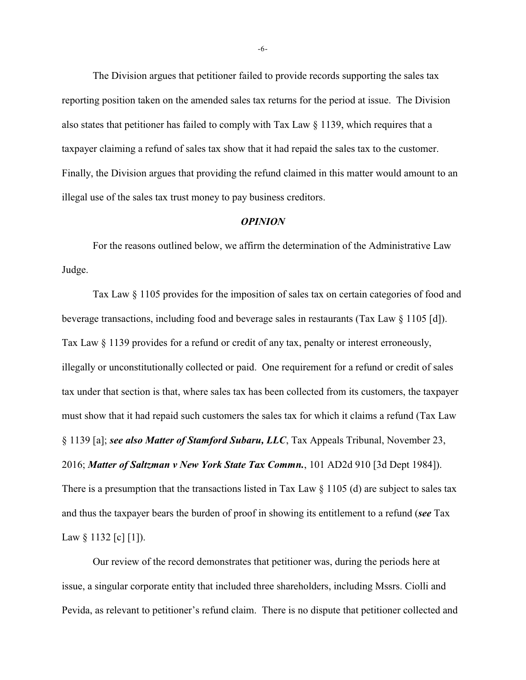The Division argues that petitioner failed to provide records supporting the sales tax reporting position taken on the amended sales tax returns for the period at issue. The Division also states that petitioner has failed to comply with Tax Law  $\S$  1139, which requires that a taxpayer claiming a refund of sales tax show that it had repaid the sales tax to the customer. Finally, the Division argues that providing the refund claimed in this matter would amount to an illegal use of the sales tax trust money to pay business creditors.

#### *OPINION*

For the reasons outlined below, we affirm the determination of the Administrative Law Judge.

Tax Law § 1105 provides for the imposition of sales tax on certain categories of food and beverage transactions, including food and beverage sales in restaurants (Tax Law § 1105 [d]). Tax Law § 1139 provides for a refund or credit of any tax, penalty or interest erroneously, illegally or unconstitutionally collected or paid. One requirement for a refund or credit of sales tax under that section is that, where sales tax has been collected from its customers, the taxpayer must show that it had repaid such customers the sales tax for which it claims a refund (Tax Law § 1139 [a]; *see also Matter of Stamford Subaru, LLC*, Tax Appeals Tribunal, November 23, 2016; *Matter of Saltzman v New York State Tax Commn.*, 101 AD2d 910 [3d Dept 1984]). There is a presumption that the transactions listed in Tax Law § 1105 (d) are subject to sales tax and thus the taxpayer bears the burden of proof in showing its entitlement to a refund (*see* Tax Law  $\S 1132$  [c] [1]).

Our review of the record demonstrates that petitioner was, during the periods here at issue, a singular corporate entity that included three shareholders, including Mssrs. Ciolli and Pevida, as relevant to petitioner's refund claim. There is no dispute that petitioner collected and

-6-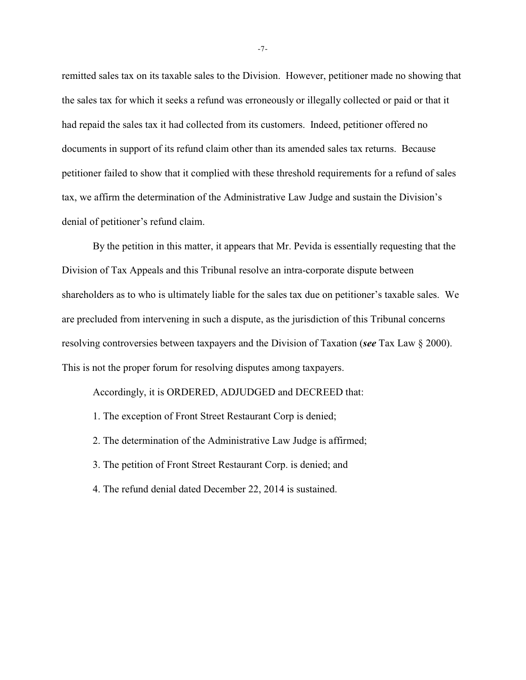remitted sales tax on its taxable sales to the Division. However, petitioner made no showing that the sales tax for which it seeks a refund was erroneously or illegally collected or paid or that it had repaid the sales tax it had collected from its customers. Indeed, petitioner offered no documents in support of its refund claim other than its amended sales tax returns. Because petitioner failed to show that it complied with these threshold requirements for a refund of sales tax, we affirm the determination of the Administrative Law Judge and sustain the Division's denial of petitioner's refund claim.

By the petition in this matter, it appears that Mr. Pevida is essentially requesting that the Division of Tax Appeals and this Tribunal resolve an intra-corporate dispute between shareholders as to who is ultimately liable for the sales tax due on petitioner's taxable sales. We are precluded from intervening in such a dispute, as the jurisdiction of this Tribunal concerns resolving controversies between taxpayers and the Division of Taxation (*see* Tax Law § 2000). This is not the proper forum for resolving disputes among taxpayers.

Accordingly, it is ORDERED, ADJUDGED and DECREED that:

1. The exception of Front Street Restaurant Corp is denied;

2. The determination of the Administrative Law Judge is affirmed;

3. The petition of Front Street Restaurant Corp. is denied; and

4. The refund denial dated December 22, 2014 is sustained.

-7-